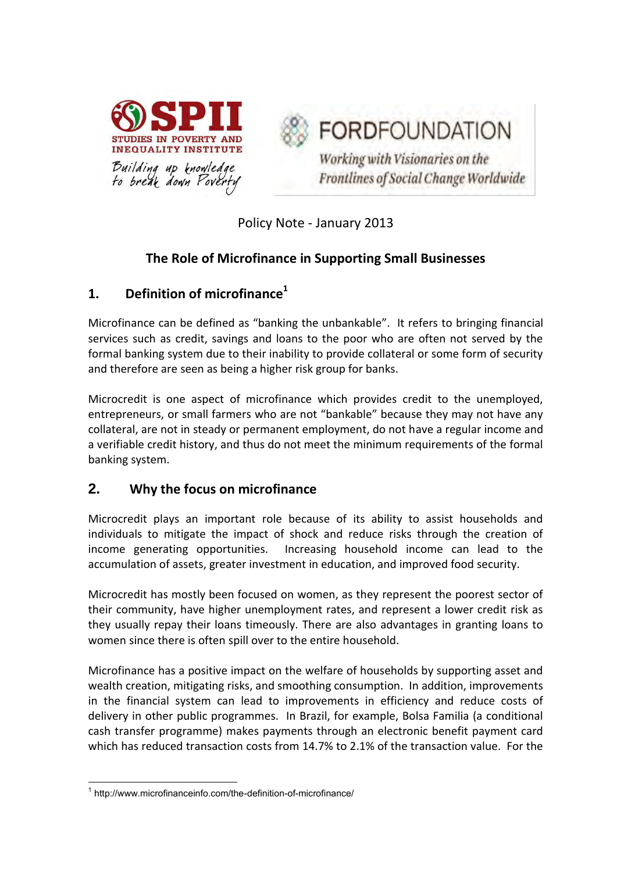

**FORDFOUNDATION** 

Working with Visionaries on the Frontlines of Social Change Worldwide

Policy Note - January 2013

# **The Role of Microfinance in Supporting Small Businesses**

## **1. Definition of microfinance<sup>1</sup>**

Microfinance can be defined as "banking the unbankable". It refers to bringing financial services such as credit, savings and loans to the poor who are often not served by the formal banking system due to their inability to provide collateral or some form of security and therefore are seen as being a higher risk group for banks.

Microcredit is one aspect of microfinance which provides credit to the unemployed, entrepreneurs, or small farmers who are not "bankable" because they may not have any collateral, are not in steady or permanent employment, do not have a regular income and a verifiable credit history, and thus do not meet the minimum requirements of the formal banking system.

## **2. Why the focus on microfinance**

Microcredit plays an important role because of its ability to assist households and individuals to mitigate the impact of shock and reduce risks through the creation of income generating opportunities. Increasing household income can lead to the accumulation of assets, greater investment in education, and improved food security.

Microcredit has mostly been focused on women, as they represent the poorest sector of their community, have higher unemployment rates, and represent a lower credit risk as they usually repay their loans timeously. There are also advantages in granting loans to women since there is often spill over to the entire household.

Microfinance has a positive impact on the welfare of households by supporting asset and wealth creation, mitigating risks, and smoothing consumption. In addition, improvements in the financial system can lead to improvements in efficiency and reduce costs of delivery in other public programmes. In Brazil, for example, Bolsa Familia (a conditional cash transfer programme) makes payments through an electronic benefit payment card which has reduced transaction costs from 14.7% to 2.1% of the transaction value. For the

**<sup>.</sup>** 1 <http://www.microfinanceinfo.com/the-definition-of-microfinance/>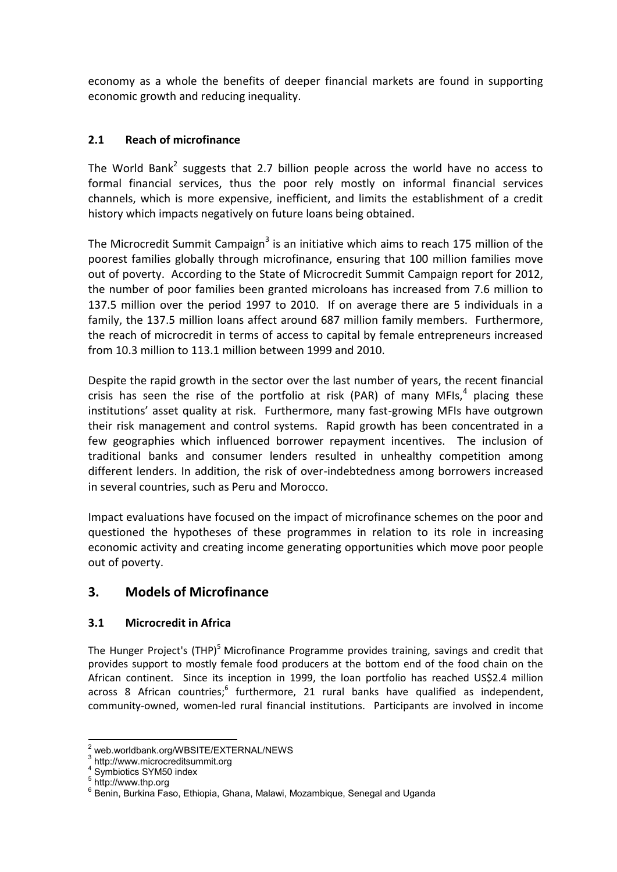economy as a whole the benefits of deeper financial markets are found in supporting economic growth and reducing inequality.

#### **2.1 Reach of microfinance**

The World Bank<sup>2</sup> suggests that 2.7 billion people across the world have no access to formal financial services, thus the poor rely mostly on informal financial services channels, which is more expensive, inefficient, and limits the establishment of a credit history which impacts negatively on future loans being obtained.

The Microcredit Summit Campaign<sup>3</sup> is an initiative which aims to reach 175 million of the poorest families globally through microfinance, ensuring that 100 million families move out of poverty. According to the State of Microcredit Summit Campaign report for 2012, the number of poor families been granted microloans has increased from 7.6 million to 137.5 million over the period 1997 to 2010. If on average there are 5 individuals in a family, the 137.5 million loans affect around 687 million family members. Furthermore, the reach of microcredit in terms of access to capital by female entrepreneurs increased from 10.3 million to 113.1 million between 1999 and 2010.

Despite the rapid growth in the sector over the last number of years, the recent financial crisis has seen the rise of the portfolio at risk (PAR) of many MFIs,<sup>4</sup> placing these institutions' asset quality at risk. Furthermore, many fast-growing MFIs have outgrown their risk management and control systems. Rapid growth has been concentrated in a few geographies which influenced borrower repayment incentives. The inclusion of traditional banks and consumer lenders resulted in unhealthy competition among different lenders. In addition, the risk of over-indebtedness among borrowers increased in several countries, such as Peru and Morocco.

Impact evaluations have focused on the impact of microfinance schemes on the poor and questioned the hypotheses of these programmes in relation to its role in increasing economic activity and creating income generating opportunities which move poor people out of poverty.

## **3. Models of Microfinance**

#### **3.1 Microcredit in Africa**

The Hunger Project's (THP)<sup>5</sup> Microfinance Programme provides training, savings and credit that provides support to mostly female food producers at the bottom end of the food chain on the African continent. Since its inception in 1999, the loan portfolio has reached US\$2.4 million across 8 African countries;<sup>6</sup> furthermore, 21 rural banks have qualified as independent, community-owned, women-led rural financial institutions. Participants are involved in income

 $\overline{\phantom{a}}$ 2 web.worldbank.org/WBSITE/EXTERNAL/NEWS 3

http://www.microcreditsummit.org

<sup>4</sup> Symbiotics SYM50 index

<sup>5</sup> http://www.thp.org

<sup>6</sup> Benin, Burkina Faso, Ethiopia, Ghana, Malawi, Mozambique, Senegal and Uganda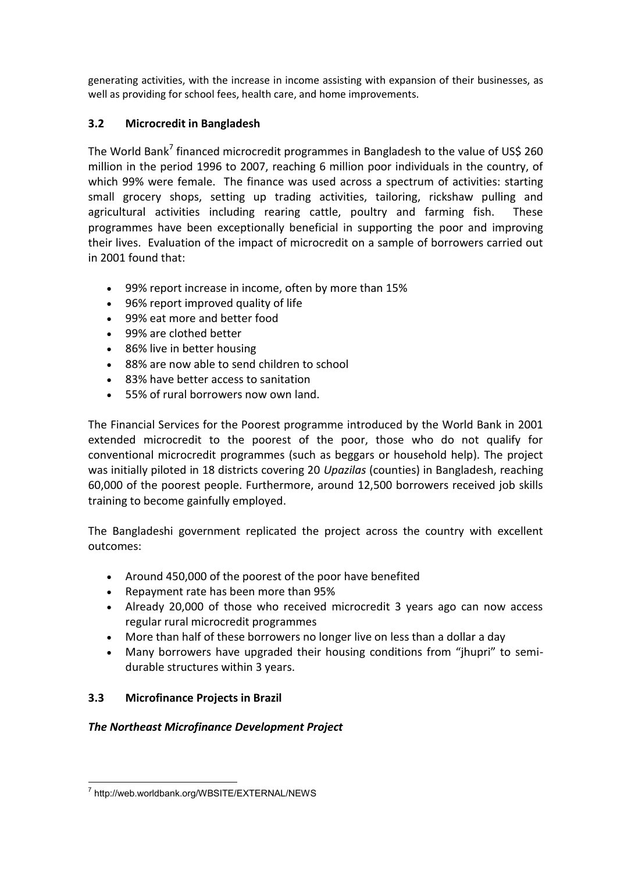generating activities, with the increase in income assisting with expansion of their businesses, as well as providing for school fees, health care, and home improvements.

## **3.2 Microcredit in Bangladesh**

The World Bank<sup>7</sup> financed microcredit programmes in Bangladesh to the value of US\$ 260 million in the period 1996 to 2007, reaching 6 million poor individuals in the country, of which 99% were female. The finance was used across a spectrum of activities: starting small grocery shops, setting up trading activities, tailoring, rickshaw pulling and agricultural activities including rearing cattle, poultry and farming fish. These programmes have been exceptionally beneficial in supporting the poor and improving their lives. Evaluation of the impact of microcredit on a sample of borrowers carried out in 2001 found that:

- 99% report increase in income, often by more than 15%
- 96% report improved quality of life
- 99% eat more and better food
- 99% are clothed better
- 86% live in better housing
- 88% are now able to send children to school
- 83% have better access to sanitation
- 55% of rural borrowers now own land.

The Financial Services for the Poorest programme introduced by the World Bank in 2001 extended microcredit to the poorest of the poor, those who do not qualify for conventional microcredit programmes (such as beggars or household help). The project was initially piloted in 18 districts covering 20 *Upazilas* (counties) in Bangladesh, reaching 60,000 of the poorest people. Furthermore, around 12,500 borrowers received job skills training to become gainfully employed.

The Bangladeshi government replicated the project across the country with excellent outcomes:

- Around 450,000 of the poorest of the poor have benefited
- Repayment rate has been more than 95%
- Already 20,000 of those who received microcredit 3 years ago can now access regular rural microcredit programmes
- More than half of these borrowers no longer live on less than a dollar a day
- Many borrowers have upgraded their housing conditions from "jhupri" to semidurable structures within 3 years.

## **3.3 Microfinance Projects in Brazil**

## *The Northeast Microfinance Development Project*

 7 http://web.worldbank.org/WBSITE/EXTERNAL/NEWS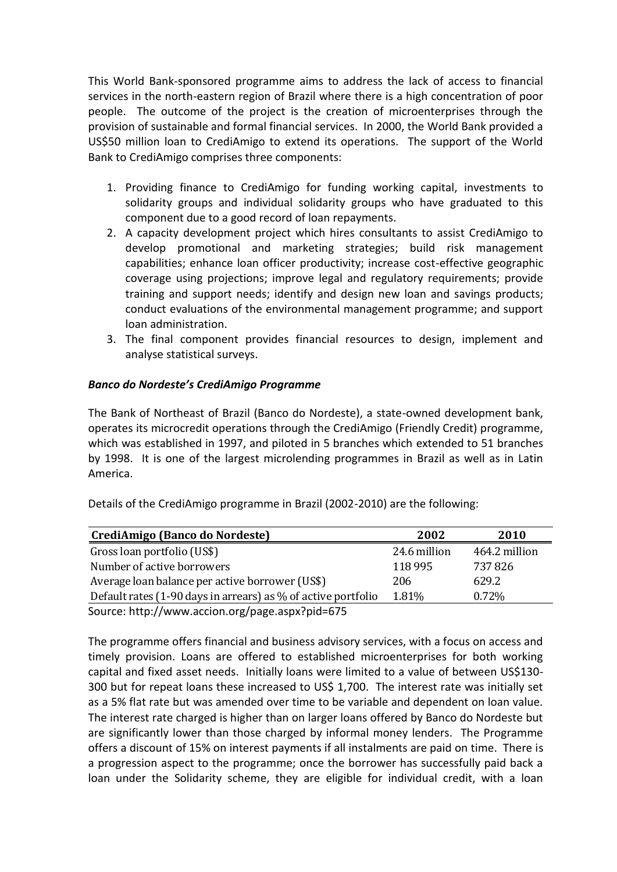This World Bank-sponsored programme aims to address the lack of access to financial services in the north-eastern region of Brazil where there is a high concentration of poor people. The outcome of the project is the creation of microenterprises through the provision of sustainable and formal financial services. In 2000, the World Bank provided a US\$50 million loan to CrediAmigo to extend its operations. The support of the World Bank to CrediAmigo comprises three components:

- 1. Providing finance to CrediAmigo for funding working capital, investments to solidarity groups and individual solidarity groups who have graduated to this component due to a good record of loan repayments.
- 2. A capacity development project which hires consultants to assist CrediAmigo to develop promotional and marketing strategies; build risk management capabilities; enhance loan officer productivity; increase cost-effective geographic coverage using projections; improve legal and regulatory requirements; provide training and support needs; identify and design new loan and savings products; conduct evaluations of the environmental management programme; and support loan administration.
- 3. The final component provides financial resources to design, implement and analyse statistical surveys.

#### *Banco do Nordeste's CrediAmigo Programme*

The Bank of Northeast of Brazil (Banco do Nordeste), a state-owned development bank, operates its microcredit operations through the CrediAmigo (Friendly Credit) programme, which was established in 1997, and piloted in 5 branches which extended to 51 branches by 1998. It is one of the largest microlending programmes in Brazil as well as in Latin America.

| Details of the CrediAmigo programme in Brazil (2002-2010) are the following: |              |               |  |  |  |  |  |
|------------------------------------------------------------------------------|--------------|---------------|--|--|--|--|--|
| CrediAmigo (Banco do Nordeste)                                               | 2002         | 2010          |  |  |  |  |  |
| Gross loan portfolio (US\$)                                                  | 24.6 million | 464.2 million |  |  |  |  |  |
| Number of active borrowers                                                   | 118 9 95     | 737826        |  |  |  |  |  |
| Average loan balance per active borrower (US\$)                              | 206          | 629.2         |  |  |  |  |  |
| Default rates (1-90 days in arrears) as % of active portfolio                | 1.81%        | $0.72\%$      |  |  |  |  |  |
| Source: http://www.accion.org/page.aspx?pid=675                              |              |               |  |  |  |  |  |

The programme offers financial and business advisory services, with a focus on access and timely provision. Loans are offered to established microenterprises for both working capital and fixed asset needs. Initially loans were limited to a value of between US\$130- 300 but for repeat loans these increased to US\$ 1,700. The interest rate was initially set as a 5% flat rate but was amended over time to be variable and dependent on loan value. The interest rate charged is higher than on larger loans offered by Banco do Nordeste but are significantly lower than those charged by informal money lenders. The Programme offers a discount of 15% on interest payments if all instalments are paid on time. There is a progression aspect to the programme; once the borrower has successfully paid back a loan under the Solidarity scheme, they are eligible for individual credit, with a loan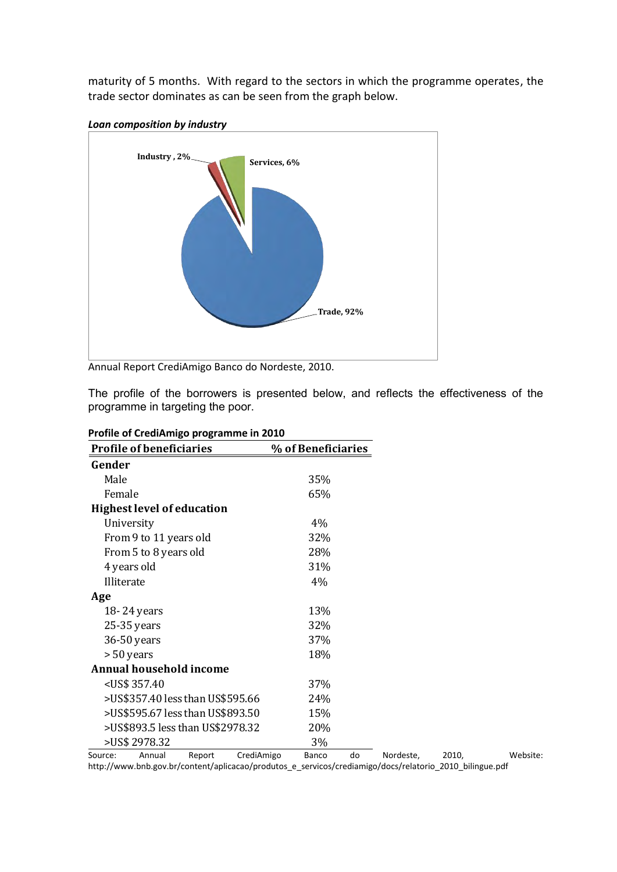maturity of 5 months. With regard to the sectors in which the programme operates, the trade sector dominates as can be seen from the graph below.



*Loan composition by industry* 

Annual Report CrediAmigo Banco do Nordeste, 2010.

The profile of the borrowers is presented below, and reflects the effectiveness of the programme in targeting the poor.

| <b>Profile of beneficiaries</b>                     | % of Beneficiaries |      |
|-----------------------------------------------------|--------------------|------|
| Gender                                              |                    |      |
| Male                                                | 35%                |      |
| Female                                              | 65%                |      |
| <b>Highest level of education</b>                   |                    |      |
| University                                          | $4\%$              |      |
| From 9 to 11 years old                              | 32%                |      |
| From 5 to 8 years old                               | 28%                |      |
| 4 years old                                         | 31%                |      |
| Illiterate                                          | 4%                 |      |
| Age                                                 |                    |      |
| 18-24 years                                         | 13%                |      |
| 25-35 years                                         | 32%                |      |
| 36-50 years                                         | 37%                |      |
| > 50 years                                          | 18%                |      |
| <b>Annual household income</b>                      |                    |      |
| <us\$ 357.40<="" td=""><td>37%</td><td></td></us\$> | 37%                |      |
| >US\$357.40 less than US\$595.66                    | 24%                |      |
| >US\$595.67 less than US\$893.50                    | 15%                |      |
| >US\$893.5 less than US\$2978.32                    | 20%                |      |
| >US\$ 2978.32                                       | 3%                 |      |
| $C = A$                                             | <b>D</b>           | 2040 |

|  | Profile of CrediAmigo programme in 2010 |
|--|-----------------------------------------|
|--|-----------------------------------------|

Source: Annual Report CrediAmigo Banco do Nordeste, 2010, Website: [http://www.bnb.gov.br/content/aplicacao/produtos\\_e\\_servicos/crediamigo/docs/relatorio\\_2010\\_bilingue.pdf](http://www.bnb.gov.br/content/aplicacao/produtos_e_servicos/crediamigo/docs/relatorio_2010_bilingue.pdf)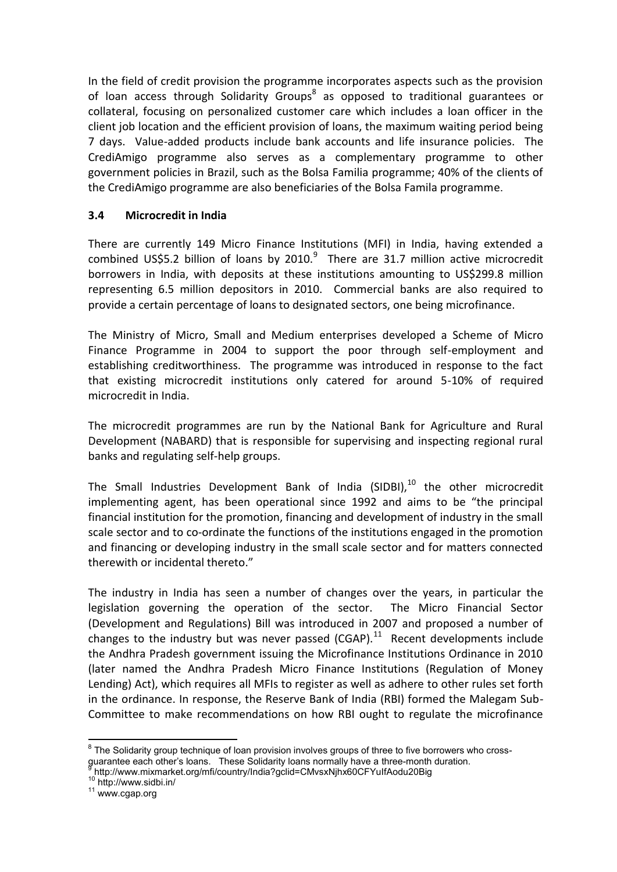In the field of credit provision the programme incorporates aspects such as the provision of loan access through Solidarity Groups<sup>8</sup> as opposed to traditional guarantees or collateral, focusing on personalized customer care which includes a loan officer in the client job location and the efficient provision of loans, the maximum waiting period being 7 days. Value-added products include bank accounts and life insurance policies. The CrediAmigo programme also serves as a complementary programme to other government policies in Brazil, such as the Bolsa Familia programme; 40% of the clients of the CrediAmigo programme are also beneficiaries of the Bolsa Famila programme.

#### **3.4 Microcredit in India**

There are currently 149 Micro Finance Institutions (MFI) in India, having extended a combined US\$5.2 billion of loans by 2010. $9$  There are 31.7 million active microcredit borrowers in India, with deposits at these institutions amounting to US\$299.8 million representing 6.5 million depositors in 2010. Commercial banks are also required to provide a certain percentage of loans to designated sectors, one being microfinance.

The Ministry of Micro, Small and Medium enterprises developed a Scheme of Micro Finance Programme in 2004 to support the poor through self-employment and establishing creditworthiness. The programme was introduced in response to the fact that existing microcredit institutions only catered for around 5-10% of required microcredit in India.

The microcredit programmes are run by the National Bank for Agriculture and Rural Development (NABARD) that is responsible for supervising and inspecting regional rural banks and regulating self-help groups.

The Small Industries Development Bank of India (SIDBI), $^{10}$  the other microcredit implementing agent, has been operational since 1992 and aims to be "the principal financial institution for the promotion, financing and development of industry in the small scale sector and to co-ordinate the functions of the institutions engaged in the promotion and financing or developing industry in the small scale sector and for matters connected therewith or incidental thereto."

The industry in India has seen a number of changes over the years, in particular the legislation governing the operation of the sector. The Micro Financial Sector (Development and Regulations) Bill was introduced in 2007 and proposed a number of changes to the industry but was never passed (CGAP). $^{11}$  Recent developments include the Andhra Pradesh government issuing the Microfinance Institutions Ordinance in 2010 (later named the Andhra Pradesh Micro Finance Institutions (Regulation of Money Lending) Act), which requires all MFIs to register as well as adhere to other rules set forth in the ordinance. In response, the Reserve Bank of India (RBI) formed the Malegam Sub-Committee to make recommendations on how RBI ought to regulate the microfinance

<sup>&</sup>lt;sup>8</sup> The Solidarity group technique of loan provision involves groups of three to five borrowers who crossguarantee each other's loans. These Solidarity loans normally have a three-month duration. 9 http://www.mixmarket.org/mfi/country/India?gclid=CMvsxNjhx60CFYuIfAodu20Big

<sup>10</sup> http://www.sidbi.in/

<sup>11</sup> [www.cgap.org](http://www.cgap.org/)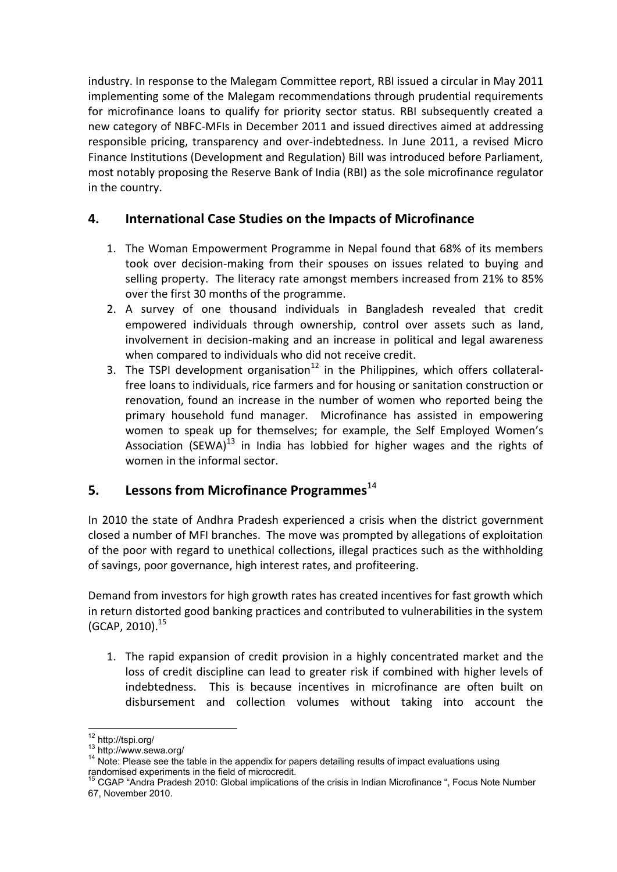industry. In response to the Malegam Committee report, RBI issued a circular in May 2011 implementing some of the Malegam recommendations through prudential requirements for microfinance loans to qualify for priority sector status. RBI subsequently created a new category of NBFC-MFIs in December 2011 and issued directives aimed at addressing responsible pricing, transparency and over-indebtedness. In June 2011, a revised Micro Finance Institutions (Development and Regulation) Bill was introduced before Parliament, most notably proposing the Reserve Bank of India (RBI) as the sole microfinance regulator in the country.

# **4. International Case Studies on the Impacts of Microfinance**

- 1. The Woman Empowerment Programme in Nepal found that 68% of its members took over decision-making from their spouses on issues related to buying and selling property. The literacy rate amongst members increased from 21% to 85% over the first 30 months of the programme.
- 2. A survey of one thousand individuals in Bangladesh revealed that credit empowered individuals through ownership, control over assets such as land, involvement in decision-making and an increase in political and legal awareness when compared to individuals who did not receive credit.
- 3. The TSPI development organisation<sup>12</sup> in the Philippines, which offers collateralfree loans to individuals, rice farmers and for housing or sanitation construction or renovation, found an increase in the number of women who reported being the primary household fund manager. Microfinance has assisted in empowering women to speak up for themselves; for example, the Self Employed Women's Association (SEWA) $^{13}$  in India has lobbied for higher wages and the rights of women in the informal sector.

# **5.** Lessons from Microfinance Programmes<sup>14</sup>

In 2010 the state of Andhra Pradesh experienced a crisis when the district government closed a number of MFI branches. The move was prompted by allegations of exploitation of the poor with regard to unethical collections, illegal practices such as the withholding of savings, poor governance, high interest rates, and profiteering.

Demand from investors for high growth rates has created incentives for fast growth which in return distorted good banking practices and contributed to vulnerabilities in the system  $(GCAP, 2010).$ <sup>15</sup>

1. The rapid expansion of credit provision in a highly concentrated market and the loss of credit discipline can lead to greater risk if combined with higher levels of indebtedness. This is because incentives in microfinance are often built on disbursement and collection volumes without taking into account the

**<sup>.</sup>** <sup>12</sup> http://tspi.org/

<sup>13</sup> http://www.sewa.org/

<sup>&</sup>lt;sup>14</sup> Note: Please see the table in the appendix for papers detailing results of impact evaluations using randomised experiments in the field of microcredit.

<sup>&</sup>lt;sup>15</sup> CGAP "Andra Pradesh 2010: Global implications of the crisis in Indian Microfinance ", Focus Note Number 67, November 2010.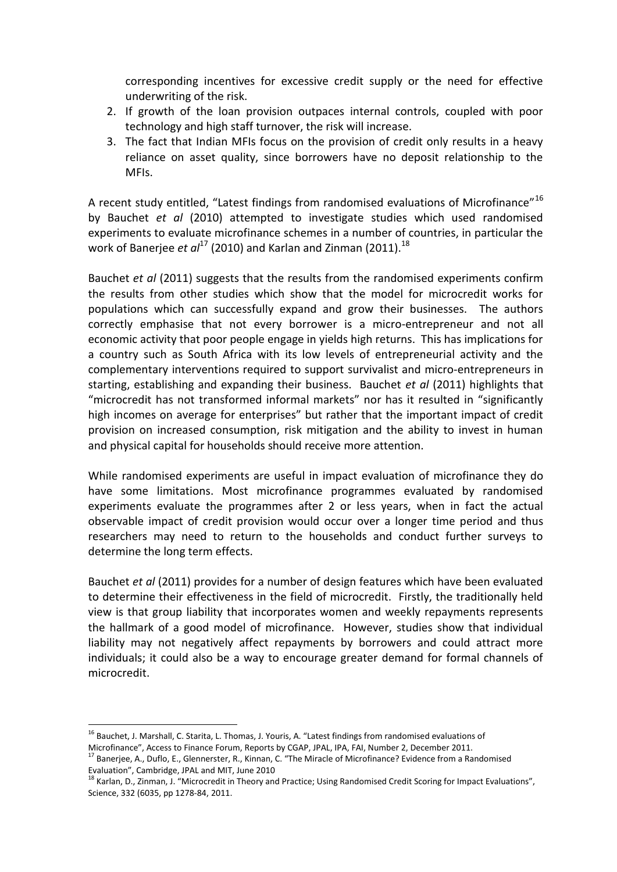corresponding incentives for excessive credit supply or the need for effective underwriting of the risk.

- 2. If growth of the loan provision outpaces internal controls, coupled with poor technology and high staff turnover, the risk will increase.
- 3. The fact that Indian MFIs focus on the provision of credit only results in a heavy reliance on asset quality, since borrowers have no deposit relationship to the MFIs.

A recent study entitled, "Latest findings from randomised evaluations of Microfinance"<sup>16</sup> by Bauchet *et al* (2010) attempted to investigate studies which used randomised experiments to evaluate microfinance schemes in a number of countries, in particular the work of Banerjee *et al<sup>17</sup>* (2010) and Karlan and Zinman (2011).<sup>18</sup>

Bauchet *et al* (2011) suggests that the results from the randomised experiments confirm the results from other studies which show that the model for microcredit works for populations which can successfully expand and grow their businesses. The authors correctly emphasise that not every borrower is a micro-entrepreneur and not all economic activity that poor people engage in yields high returns. This has implications for a country such as South Africa with its low levels of entrepreneurial activity and the complementary interventions required to support survivalist and micro-entrepreneurs in starting, establishing and expanding their business. Bauchet *et al* (2011) highlights that "microcredit has not transformed informal markets" nor has it resulted in "significantly high incomes on average for enterprises" but rather that the important impact of credit provision on increased consumption, risk mitigation and the ability to invest in human and physical capital for households should receive more attention.

While randomised experiments are useful in impact evaluation of microfinance they do have some limitations. Most microfinance programmes evaluated by randomised experiments evaluate the programmes after 2 or less years, when in fact the actual observable impact of credit provision would occur over a longer time period and thus researchers may need to return to the households and conduct further surveys to determine the long term effects.

Bauchet *et al* (2011) provides for a number of design features which have been evaluated to determine their effectiveness in the field of microcredit. Firstly, the traditionally held view is that group liability that incorporates women and weekly repayments represents the hallmark of a good model of microfinance. However, studies show that individual liability may not negatively affect repayments by borrowers and could attract more individuals; it could also be a way to encourage greater demand for formal channels of microcredit.

**<sup>.</sup>** <sup>16</sup> Bauchet, J. Marshall, C. Starita, L. Thomas, J. Youris, A. "Latest findings from randomised evaluations of Microfinance", Access to Finance Forum, Reports by CGAP, JPAL, IPA, FAI, Number 2, December 2011.

<sup>&</sup>lt;sup>17</sup> Banerjee, A., Duflo, E., Glennerster, R., Kinnan, C. "The Miracle of Microfinance? Evidence from a Randomised Evaluation", Cambridge, JPAL and MIT, June 2010

<sup>&</sup>lt;sup>18</sup> Karlan, D., Zinman, J. "Microcredit in Theory and Practice; Using Randomised Credit Scoring for Impact Evaluations", Science, 332 (6035, pp 1278-84, 2011.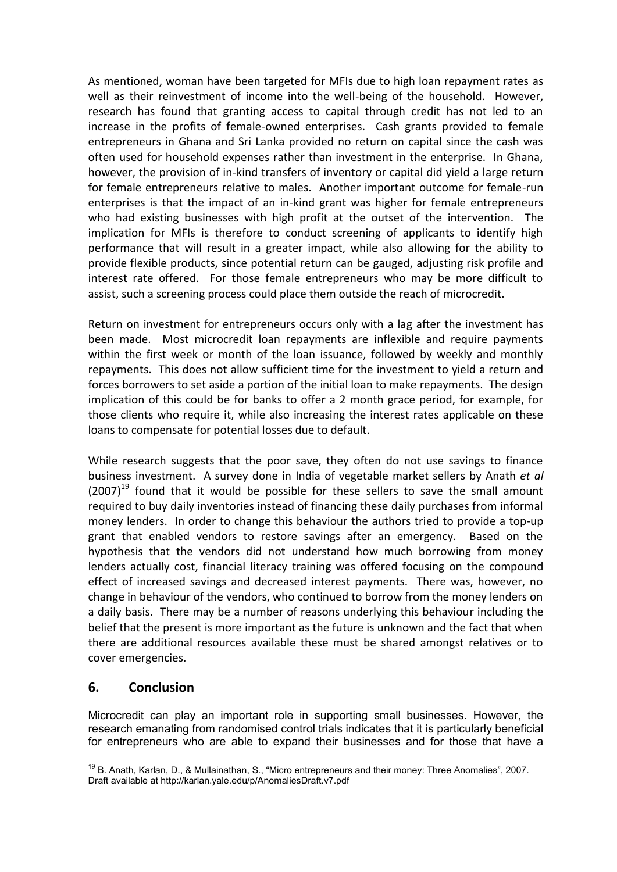As mentioned, woman have been targeted for MFIs due to high loan repayment rates as well as their reinvestment of income into the well-being of the household. However, research has found that granting access to capital through credit has not led to an increase in the profits of female-owned enterprises. Cash grants provided to female entrepreneurs in Ghana and Sri Lanka provided no return on capital since the cash was often used for household expenses rather than investment in the enterprise. In Ghana, however, the provision of in-kind transfers of inventory or capital did yield a large return for female entrepreneurs relative to males. Another important outcome for female-run enterprises is that the impact of an in-kind grant was higher for female entrepreneurs who had existing businesses with high profit at the outset of the intervention. The implication for MFIs is therefore to conduct screening of applicants to identify high performance that will result in a greater impact, while also allowing for the ability to provide flexible products, since potential return can be gauged, adjusting risk profile and interest rate offered. For those female entrepreneurs who may be more difficult to assist, such a screening process could place them outside the reach of microcredit.

Return on investment for entrepreneurs occurs only with a lag after the investment has been made. Most microcredit loan repayments are inflexible and require payments within the first week or month of the loan issuance, followed by weekly and monthly repayments. This does not allow sufficient time for the investment to yield a return and forces borrowers to set aside a portion of the initial loan to make repayments. The design implication of this could be for banks to offer a 2 month grace period, for example, for those clients who require it, while also increasing the interest rates applicable on these loans to compensate for potential losses due to default.

While research suggests that the poor save, they often do not use savings to finance business investment. A survey done in India of vegetable market sellers by Anath *et al*  $(2007)^{19}$  found that it would be possible for these sellers to save the small amount required to buy daily inventories instead of financing these daily purchases from informal money lenders. In order to change this behaviour the authors tried to provide a top-up grant that enabled vendors to restore savings after an emergency. Based on the hypothesis that the vendors did not understand how much borrowing from money lenders actually cost, financial literacy training was offered focusing on the compound effect of increased savings and decreased interest payments. There was, however, no change in behaviour of the vendors, who continued to borrow from the money lenders on a daily basis. There may be a number of reasons underlying this behaviour including the belief that the present is more important as the future is unknown and the fact that when there are additional resources available these must be shared amongst relatives or to cover emergencies.

## **6. Conclusion**

Microcredit can play an important role in supporting small businesses. However, the research emanating from randomised control trials indicates that it is particularly beneficial for entrepreneurs who are able to expand their businesses and for those that have a

**<sup>.</sup>** <sup>19</sup> B. Anath, Karlan, D., & Mullainathan, S., "Micro entrepreneurs and their money: Three Anomalies", 2007. Draft available at<http://karlan.yale.edu/p/AnomaliesDraft.v7.pdf>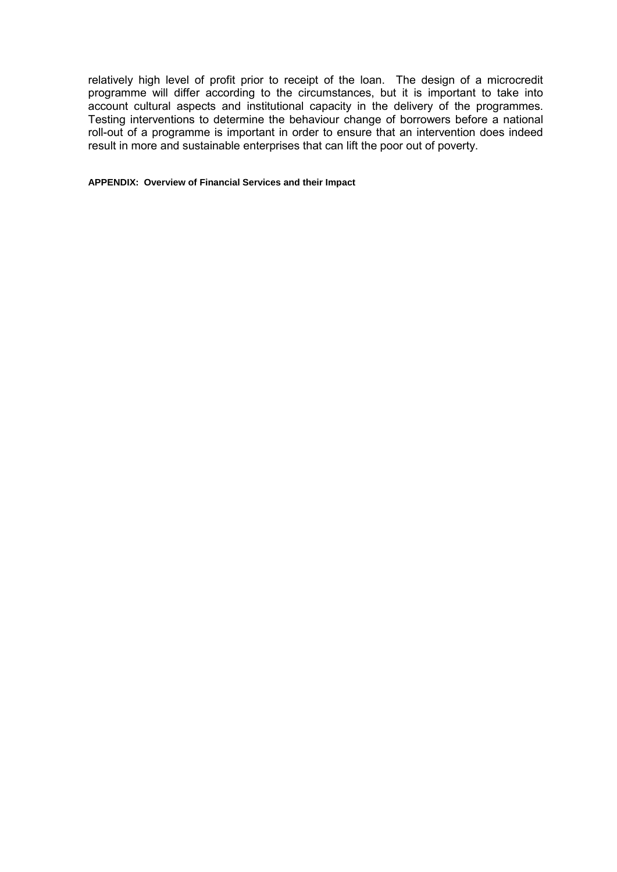relatively high level of profit prior to receipt of the loan. The design of a microcredit programme will differ according to the circumstances, but it is important to take into account cultural aspects and institutional capacity in the delivery of the programmes. Testing interventions to determine the behaviour change of borrowers before a national roll-out of a programme is important in order to ensure that an intervention does indeed result in more and sustainable enterprises that can lift the poor out of poverty.

#### **APPENDIX: Overview of Financial Services and their Impact**